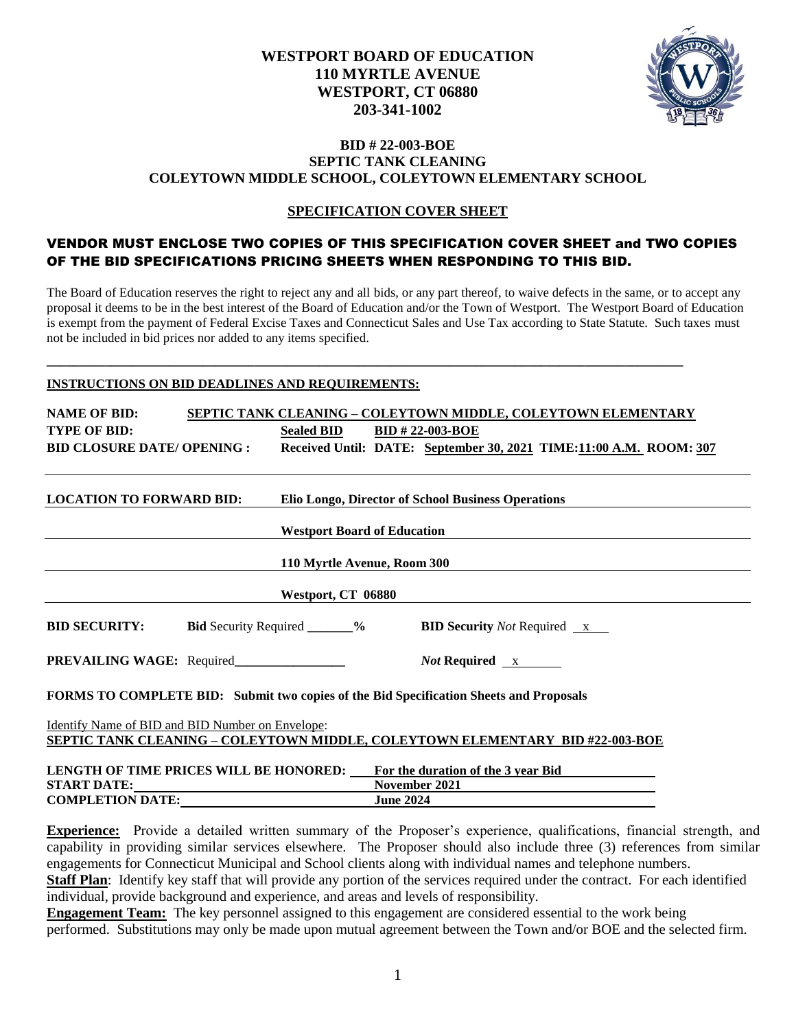

#### **BID # 22-003-BOE SEPTIC TANK CLEANING COLEYTOWN MIDDLE SCHOOL, COLEYTOWN ELEMENTARY SCHOOL**

### **SPECIFICATION COVER SHEET**

### VENDOR MUST ENCLOSE TWO COPIES OF THIS SPECIFICATION COVER SHEET and TWO COPIES OF THE BID SPECIFICATIONS PRICING SHEETS WHEN RESPONDING TO THIS BID.

The Board of Education reserves the right to reject any and all bids, or any part thereof, to waive defects in the same, or to accept any proposal it deems to be in the best interest of the Board of Education and/or the Town of Westport. The Westport Board of Education is exempt from the payment of Federal Excise Taxes and Connecticut Sales and Use Tax according to State Statute. Such taxes must not be included in bid prices nor added to any items specified.

**\_\_\_\_\_\_\_\_\_\_\_\_\_\_\_\_\_\_\_\_\_\_\_\_\_\_\_\_\_\_\_\_\_\_\_\_\_\_\_\_\_\_\_\_\_\_\_\_\_\_\_\_\_\_\_\_\_\_\_\_\_\_\_\_\_\_\_\_\_\_\_\_\_\_\_\_\_\_\_\_\_\_\_\_\_\_\_\_\_\_\_\_\_\_\_\_\_\_**

#### **INSTRUCTIONS ON BID DEADLINES AND REQUIREMENTS:**

| <b>NAME OF BID:</b>                                                                    |                                    |                  |                                                    | <b>SEPTIC TANK CLEANING - COLEYTOWN MIDDLE, COLEYTOWN ELEMENTARY</b>                          |
|----------------------------------------------------------------------------------------|------------------------------------|------------------|----------------------------------------------------|-----------------------------------------------------------------------------------------------|
| <b>TYPE OF BID:</b>                                                                    | Sealed BID BID # 22-003-BOE        |                  |                                                    |                                                                                               |
|                                                                                        |                                    |                  |                                                    | BID CLOSURE DATE/OPENING : Received Until: DATE: September 30, 2021 TIME:11:00 A.M. ROOM: 307 |
| <b>LOCATION TO FORWARD BID:</b>                                                        |                                    |                  | Elio Longo, Director of School Business Operations |                                                                                               |
|                                                                                        | <b>Westport Board of Education</b> |                  |                                                    |                                                                                               |
|                                                                                        | 110 Myrtle Avenue, Room 300        |                  |                                                    |                                                                                               |
|                                                                                        | Westport, CT 06880                 |                  |                                                    |                                                                                               |
| <b>BID SECURITY:</b> Bid Security Required ______% BID Security Not Required x         |                                    |                  |                                                    |                                                                                               |
|                                                                                        |                                    |                  | <i>Not</i> Required $\overline{\mathbf{x}}$        |                                                                                               |
| FORMS TO COMPLETE BID: Submit two copies of the Bid Specification Sheets and Proposals |                                    |                  |                                                    |                                                                                               |
| <b>Identify Name of BID and BID Number on Envelope:</b>                                |                                    |                  |                                                    |                                                                                               |
| <b>SEPTIC TANK CLEANING - COLEYTOWN MIDDLE, COLEYTOWN ELEMENTARY BID #22-003-BOE</b>   |                                    |                  |                                                    |                                                                                               |
| <b>LENGTH OF TIME PRICES WILL BE HONORED:</b>                                          |                                    |                  | For the duration of the 3 year Bid                 |                                                                                               |
| <b>START DATE:</b>                                                                     |                                    | November 2021    |                                                    |                                                                                               |
| <b>COMPLETION DATE:</b>                                                                |                                    | <b>June 2024</b> |                                                    |                                                                                               |

**Experience:** Provide a detailed written summary of the Proposer's experience, qualifications, financial strength, and capability in providing similar services elsewhere. The Proposer should also include three (3) references from similar engagements for Connecticut Municipal and School clients along with individual names and telephone numbers. **Staff Plan**: Identify key staff that will provide any portion of the services required under the contract. For each identified individual, provide background and experience, and areas and levels of responsibility.

**Engagement Team:** The key personnel assigned to this engagement are considered essential to the work being performed. Substitutions may only be made upon mutual agreement between the Town and/or BOE and the selected firm.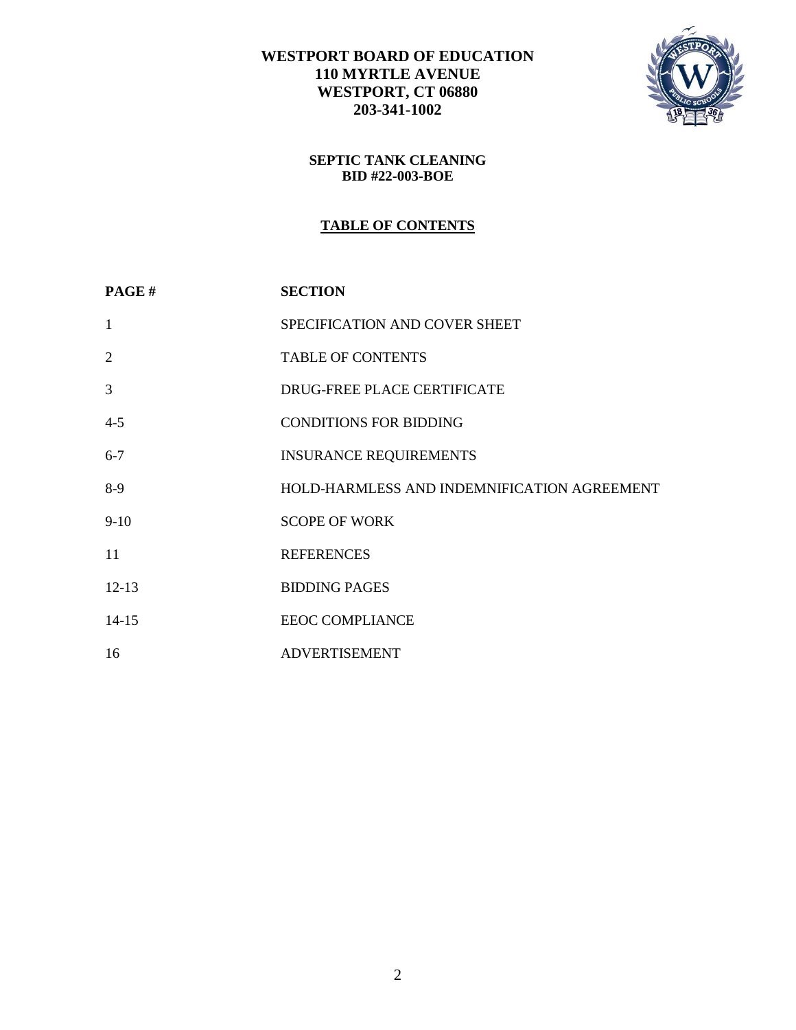

### **SEPTIC TANK CLEANING BID #22-003-BOE**

# **TABLE OF CONTENTS**

| PAGE#          | <b>SECTION</b>                              |
|----------------|---------------------------------------------|
| $\mathbf{1}$   | SPECIFICATION AND COVER SHEET               |
| $\overline{2}$ | <b>TABLE OF CONTENTS</b>                    |
| 3              | DRUG-FREE PLACE CERTIFICATE                 |
| $4 - 5$        | <b>CONDITIONS FOR BIDDING</b>               |
| $6 - 7$        | <b>INSURANCE REQUIREMENTS</b>               |
| $8-9$          | HOLD-HARMLESS AND INDEMNIFICATION AGREEMENT |
| $9-10$         | <b>SCOPE OF WORK</b>                        |
| 11             | <b>REFERENCES</b>                           |
| $12-13$        | <b>BIDDING PAGES</b>                        |
| $14 - 15$      | <b>EEOC COMPLIANCE</b>                      |
| 16             | <b>ADVERTISEMENT</b>                        |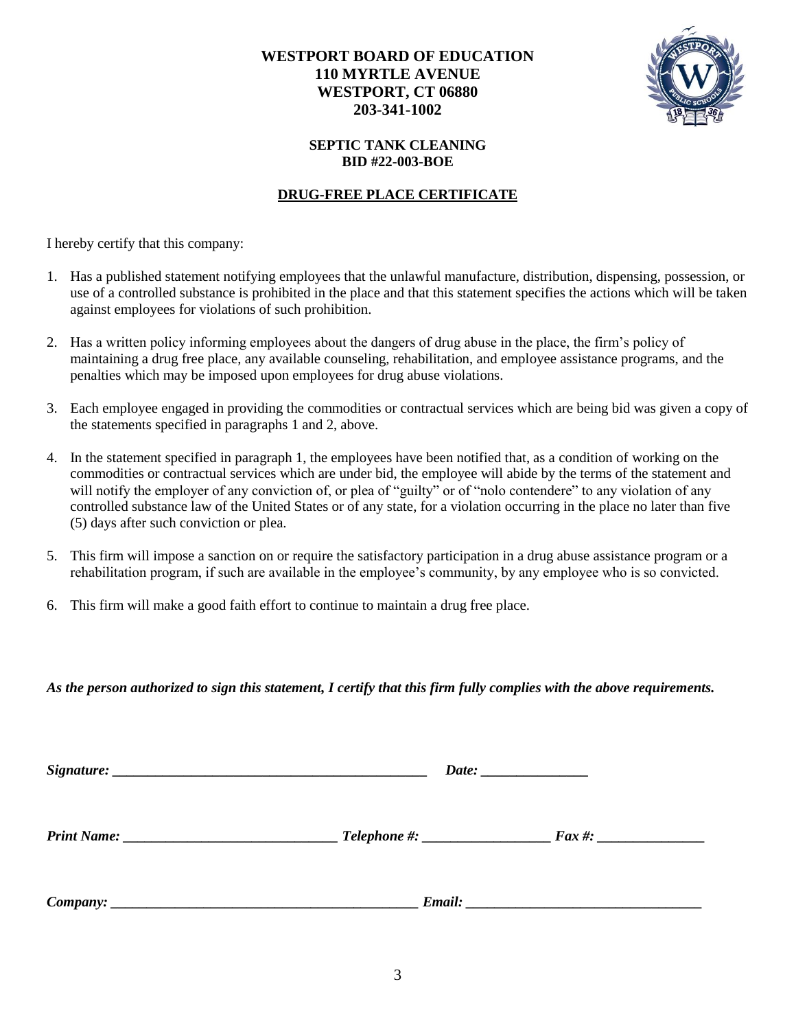

### **SEPTIC TANK CLEANING BID #22-003-BOE**

### **DRUG-FREE PLACE CERTIFICATE**

I hereby certify that this company:

- 1. Has a published statement notifying employees that the unlawful manufacture, distribution, dispensing, possession, or use of a controlled substance is prohibited in the place and that this statement specifies the actions which will be taken against employees for violations of such prohibition.
- 2. Has a written policy informing employees about the dangers of drug abuse in the place, the firm's policy of maintaining a drug free place, any available counseling, rehabilitation, and employee assistance programs, and the penalties which may be imposed upon employees for drug abuse violations.
- 3. Each employee engaged in providing the commodities or contractual services which are being bid was given a copy of the statements specified in paragraphs 1 and 2, above.
- 4. In the statement specified in paragraph 1, the employees have been notified that, as a condition of working on the commodities or contractual services which are under bid, the employee will abide by the terms of the statement and will notify the employer of any conviction of, or plea of "guilty" or of "nolo contendere" to any violation of any controlled substance law of the United States or of any state, for a violation occurring in the place no later than five (5) days after such conviction or plea.
- 5. This firm will impose a sanction on or require the satisfactory participation in a drug abuse assistance program or a rehabilitation program, if such are available in the employee's community, by any employee who is so convicted.
- 6. This firm will make a good faith effort to continue to maintain a drug free place.

*As the person authorized to sign this statement, I certify that this firm fully complies with the above requirements.*

| <b>Print Name:</b> | _ Telephone #: ________________ | $\boldsymbol{F}$ ax #:                                                                                                                                                                                                              |  |
|--------------------|---------------------------------|-------------------------------------------------------------------------------------------------------------------------------------------------------------------------------------------------------------------------------------|--|
| Company:           |                                 | <b>Email:</b> The contract of the contract of the contract of the contract of the contract of the contract of the contract of the contract of the contract of the contract of the contract of the contract of the contract of the c |  |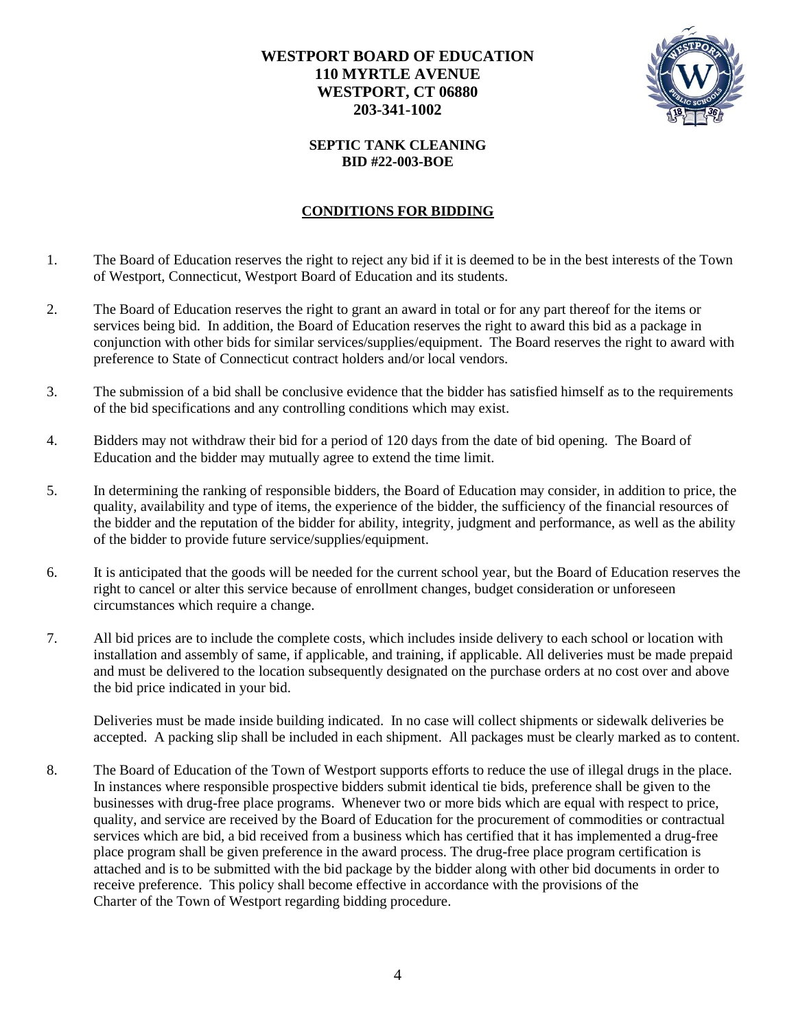

### **SEPTIC TANK CLEANING BID #22-003-BOE**

## **CONDITIONS FOR BIDDING**

- 1. The Board of Education reserves the right to reject any bid if it is deemed to be in the best interests of the Town of Westport, Connecticut, Westport Board of Education and its students.
- 2. The Board of Education reserves the right to grant an award in total or for any part thereof for the items or services being bid. In addition, the Board of Education reserves the right to award this bid as a package in conjunction with other bids for similar services/supplies/equipment. The Board reserves the right to award with preference to State of Connecticut contract holders and/or local vendors.
- 3. The submission of a bid shall be conclusive evidence that the bidder has satisfied himself as to the requirements of the bid specifications and any controlling conditions which may exist.
- 4. Bidders may not withdraw their bid for a period of 120 days from the date of bid opening. The Board of Education and the bidder may mutually agree to extend the time limit.
- 5. In determining the ranking of responsible bidders, the Board of Education may consider, in addition to price, the quality, availability and type of items, the experience of the bidder, the sufficiency of the financial resources of the bidder and the reputation of the bidder for ability, integrity, judgment and performance, as well as the ability of the bidder to provide future service/supplies/equipment.
- 6. It is anticipated that the goods will be needed for the current school year, but the Board of Education reserves the right to cancel or alter this service because of enrollment changes, budget consideration or unforeseen circumstances which require a change.
- 7. All bid prices are to include the complete costs, which includes inside delivery to each school or location with installation and assembly of same, if applicable, and training, if applicable. All deliveries must be made prepaid and must be delivered to the location subsequently designated on the purchase orders at no cost over and above the bid price indicated in your bid.

Deliveries must be made inside building indicated. In no case will collect shipments or sidewalk deliveries be accepted. A packing slip shall be included in each shipment. All packages must be clearly marked as to content.

8. The Board of Education of the Town of Westport supports efforts to reduce the use of illegal drugs in the place. In instances where responsible prospective bidders submit identical tie bids, preference shall be given to the businesses with drug-free place programs. Whenever two or more bids which are equal with respect to price, quality, and service are received by the Board of Education for the procurement of commodities or contractual services which are bid, a bid received from a business which has certified that it has implemented a drug-free place program shall be given preference in the award process. The drug-free place program certification is attached and is to be submitted with the bid package by the bidder along with other bid documents in order to receive preference. This policy shall become effective in accordance with the provisions of the Charter of the Town of Westport regarding bidding procedure.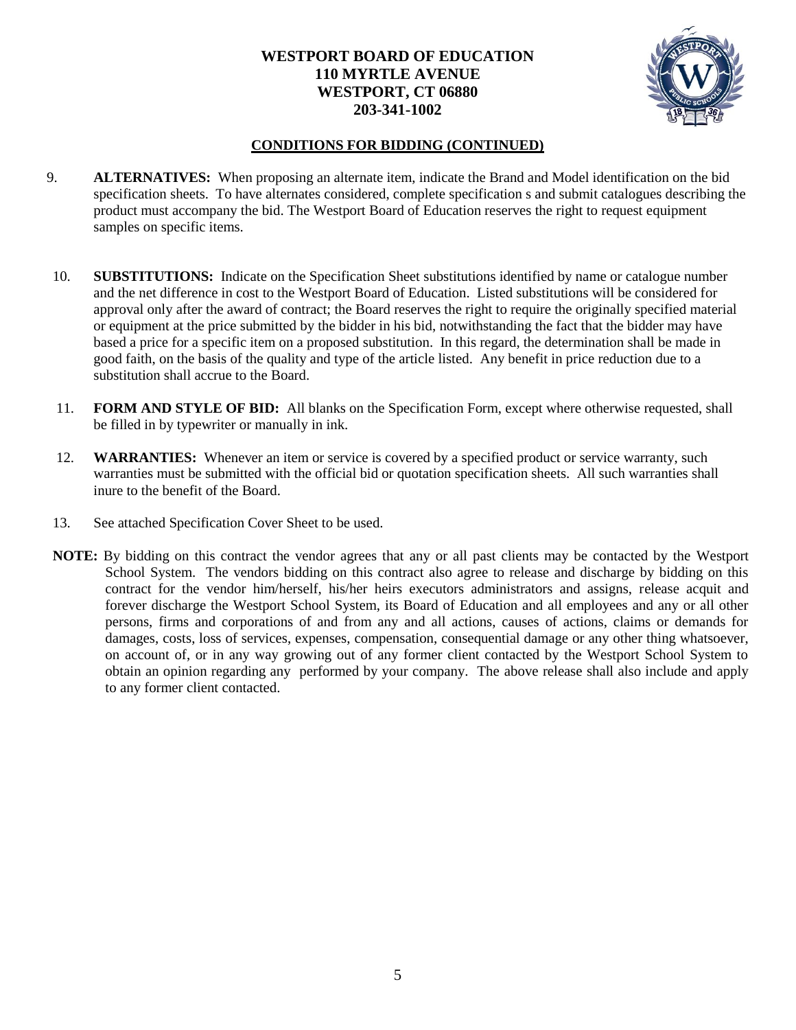

### **CONDITIONS FOR BIDDING (CONTINUED)**

- 9. **ALTERNATIVES:** When proposing an alternate item, indicate the Brand and Model identification on the bid specification sheets. To have alternates considered, complete specification s and submit catalogues describing the product must accompany the bid. The Westport Board of Education reserves the right to request equipment samples on specific items.
- 10. **SUBSTITUTIONS:** Indicate on the Specification Sheet substitutions identified by name or catalogue number and the net difference in cost to the Westport Board of Education. Listed substitutions will be considered for approval only after the award of contract; the Board reserves the right to require the originally specified material or equipment at the price submitted by the bidder in his bid, notwithstanding the fact that the bidder may have based a price for a specific item on a proposed substitution. In this regard, the determination shall be made in good faith, on the basis of the quality and type of the article listed. Any benefit in price reduction due to a substitution shall accrue to the Board.
- 11. **FORM AND STYLE OF BID:** All blanks on the Specification Form, except where otherwise requested, shall be filled in by typewriter or manually in ink.
- 12. **WARRANTIES:** Whenever an item or service is covered by a specified product or service warranty, such warranties must be submitted with the official bid or quotation specification sheets. All such warranties shall inure to the benefit of the Board.
- 13. See attached Specification Cover Sheet to be used.
- **NOTE:** By bidding on this contract the vendor agrees that any or all past clients may be contacted by the Westport School System. The vendors bidding on this contract also agree to release and discharge by bidding on this contract for the vendor him/herself, his/her heirs executors administrators and assigns, release acquit and forever discharge the Westport School System, its Board of Education and all employees and any or all other persons, firms and corporations of and from any and all actions, causes of actions, claims or demands for damages, costs, loss of services, expenses, compensation, consequential damage or any other thing whatsoever, on account of, or in any way growing out of any former client contacted by the Westport School System to obtain an opinion regarding any performed by your company. The above release shall also include and apply to any former client contacted.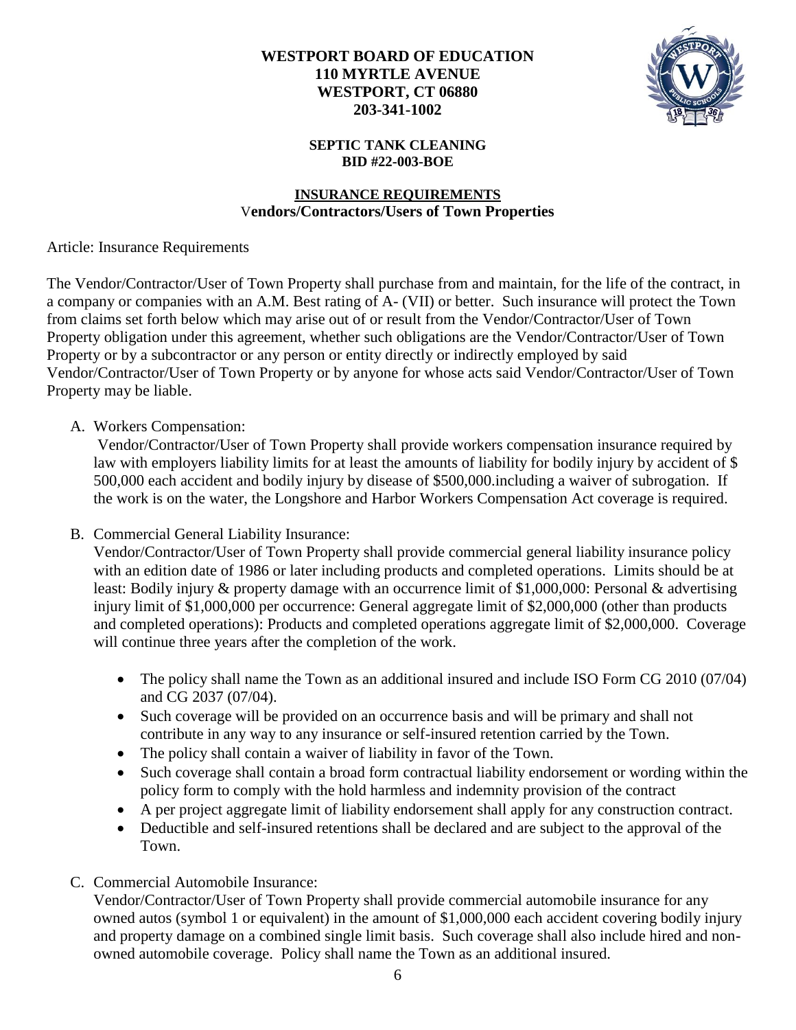

### **SEPTIC TANK CLEANING BID #22-003-BOE**

### **INSURANCE REQUIREMENTS** V**endors/Contractors/Users of Town Properties**

Article: Insurance Requirements

The Vendor/Contractor/User of Town Property shall purchase from and maintain, for the life of the contract, in a company or companies with an A.M. Best rating of A- (VII) or better. Such insurance will protect the Town from claims set forth below which may arise out of or result from the Vendor/Contractor/User of Town Property obligation under this agreement, whether such obligations are the Vendor/Contractor/User of Town Property or by a subcontractor or any person or entity directly or indirectly employed by said Vendor/Contractor/User of Town Property or by anyone for whose acts said Vendor/Contractor/User of Town Property may be liable.

## A. Workers Compensation:

Vendor/Contractor/User of Town Property shall provide workers compensation insurance required by law with employers liability limits for at least the amounts of liability for bodily injury by accident of \$ 500,000 each accident and bodily injury by disease of \$500,000.including a waiver of subrogation. If the work is on the water, the Longshore and Harbor Workers Compensation Act coverage is required.

B. Commercial General Liability Insurance:

Vendor/Contractor/User of Town Property shall provide commercial general liability insurance policy with an edition date of 1986 or later including products and completed operations. Limits should be at least: Bodily injury & property damage with an occurrence limit of \$1,000,000: Personal & advertising injury limit of \$1,000,000 per occurrence: General aggregate limit of \$2,000,000 (other than products and completed operations): Products and completed operations aggregate limit of \$2,000,000. Coverage will continue three years after the completion of the work.

- The policy shall name the Town as an additional insured and include ISO Form CG 2010 (07/04) and CG 2037 (07/04).
- Such coverage will be provided on an occurrence basis and will be primary and shall not contribute in any way to any insurance or self-insured retention carried by the Town.
- The policy shall contain a waiver of liability in favor of the Town.
- Such coverage shall contain a broad form contractual liability endorsement or wording within the policy form to comply with the hold harmless and indemnity provision of the contract
- A per project aggregate limit of liability endorsement shall apply for any construction contract.
- Deductible and self-insured retentions shall be declared and are subject to the approval of the Town.
- C. Commercial Automobile Insurance:

Vendor/Contractor/User of Town Property shall provide commercial automobile insurance for any owned autos (symbol 1 or equivalent) in the amount of \$1,000,000 each accident covering bodily injury and property damage on a combined single limit basis. Such coverage shall also include hired and nonowned automobile coverage. Policy shall name the Town as an additional insured.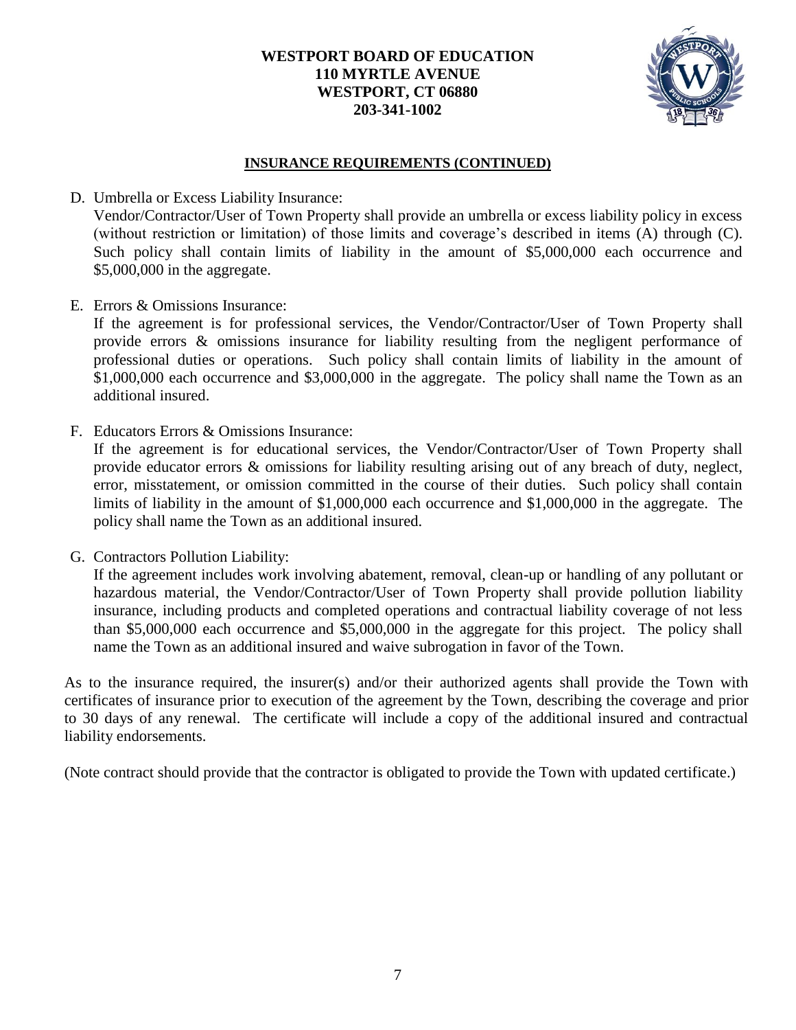

### **INSURANCE REQUIREMENTS (CONTINUED)**

### D. Umbrella or Excess Liability Insurance:

Vendor/Contractor/User of Town Property shall provide an umbrella or excess liability policy in excess (without restriction or limitation) of those limits and coverage's described in items (A) through (C). Such policy shall contain limits of liability in the amount of \$5,000,000 each occurrence and \$5,000,000 in the aggregate.

E. Errors & Omissions Insurance:

If the agreement is for professional services, the Vendor/Contractor/User of Town Property shall provide errors & omissions insurance for liability resulting from the negligent performance of professional duties or operations. Such policy shall contain limits of liability in the amount of \$1,000,000 each occurrence and \$3,000,000 in the aggregate. The policy shall name the Town as an additional insured.

F. Educators Errors & Omissions Insurance:

If the agreement is for educational services, the Vendor/Contractor/User of Town Property shall provide educator errors & omissions for liability resulting arising out of any breach of duty, neglect, error, misstatement, or omission committed in the course of their duties. Such policy shall contain limits of liability in the amount of \$1,000,000 each occurrence and \$1,000,000 in the aggregate. The policy shall name the Town as an additional insured.

G. Contractors Pollution Liability:

If the agreement includes work involving abatement, removal, clean-up or handling of any pollutant or hazardous material, the Vendor/Contractor/User of Town Property shall provide pollution liability insurance, including products and completed operations and contractual liability coverage of not less than \$5,000,000 each occurrence and \$5,000,000 in the aggregate for this project. The policy shall name the Town as an additional insured and waive subrogation in favor of the Town.

As to the insurance required, the insurer(s) and/or their authorized agents shall provide the Town with certificates of insurance prior to execution of the agreement by the Town, describing the coverage and prior to 30 days of any renewal. The certificate will include a copy of the additional insured and contractual liability endorsements.

(Note contract should provide that the contractor is obligated to provide the Town with updated certificate.)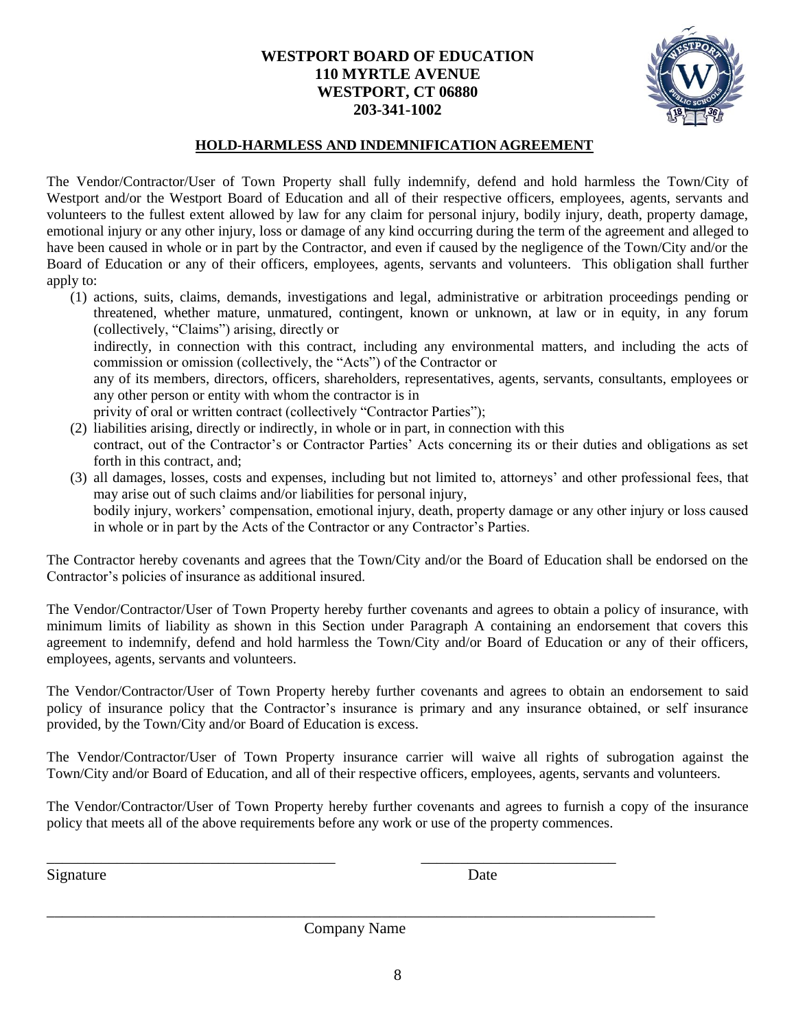

#### **HOLD-HARMLESS AND INDEMNIFICATION AGREEMENT**

The Vendor/Contractor/User of Town Property shall fully indemnify, defend and hold harmless the Town/City of Westport and/or the Westport Board of Education and all of their respective officers, employees, agents, servants and volunteers to the fullest extent allowed by law for any claim for personal injury, bodily injury, death, property damage, emotional injury or any other injury, loss or damage of any kind occurring during the term of the agreement and alleged to have been caused in whole or in part by the Contractor, and even if caused by the negligence of the Town/City and/or the Board of Education or any of their officers, employees, agents, servants and volunteers. This obligation shall further apply to:

- (1) actions, suits, claims, demands, investigations and legal, administrative or arbitration proceedings pending or threatened, whether mature, unmatured, contingent, known or unknown, at law or in equity, in any forum (collectively, "Claims") arising, directly or indirectly, in connection with this contract, including any environmental matters, and including the acts of commission or omission (collectively, the "Acts") of the Contractor or any of its members, directors, officers, shareholders, representatives, agents, servants, consultants, employees or any other person or entity with whom the contractor is in privity of oral or written contract (collectively "Contractor Parties");
- (2) liabilities arising, directly or indirectly, in whole or in part, in connection with this contract, out of the Contractor's or Contractor Parties' Acts concerning its or their duties and obligations as set forth in this contract, and;
- (3) all damages, losses, costs and expenses, including but not limited to, attorneys' and other professional fees, that may arise out of such claims and/or liabilities for personal injury, bodily injury, workers' compensation, emotional injury, death, property damage or any other injury or loss caused in whole or in part by the Acts of the Contractor or any Contractor's Parties.

The Contractor hereby covenants and agrees that the Town/City and/or the Board of Education shall be endorsed on the Contractor's policies of insurance as additional insured.

The Vendor/Contractor/User of Town Property hereby further covenants and agrees to obtain a policy of insurance, with minimum limits of liability as shown in this Section under Paragraph A containing an endorsement that covers this agreement to indemnify, defend and hold harmless the Town/City and/or Board of Education or any of their officers, employees, agents, servants and volunteers.

The Vendor/Contractor/User of Town Property hereby further covenants and agrees to obtain an endorsement to said policy of insurance policy that the Contractor's insurance is primary and any insurance obtained, or self insurance provided, by the Town/City and/or Board of Education is excess.

The Vendor/Contractor/User of Town Property insurance carrier will waive all rights of subrogation against the Town/City and/or Board of Education, and all of their respective officers, employees, agents, servants and volunteers.

The Vendor/Contractor/User of Town Property hereby further covenants and agrees to furnish a copy of the insurance policy that meets all of the above requirements before any work or use of the property commences.

Signature Date

\_\_\_\_\_\_\_\_\_\_\_\_\_\_\_\_\_\_\_\_\_\_\_\_\_\_\_\_\_\_\_\_\_\_\_\_\_\_\_\_\_\_\_\_\_\_\_\_\_\_\_\_\_\_\_\_\_\_\_\_\_\_\_\_\_\_\_\_\_\_\_\_\_\_\_\_\_\_ Company Name

\_\_\_\_\_\_\_\_\_\_\_\_\_\_\_\_\_\_\_\_\_\_\_\_\_\_\_\_\_\_\_\_\_\_\_\_\_ \_\_\_\_\_\_\_\_\_\_\_\_\_\_\_\_\_\_\_\_\_\_\_\_\_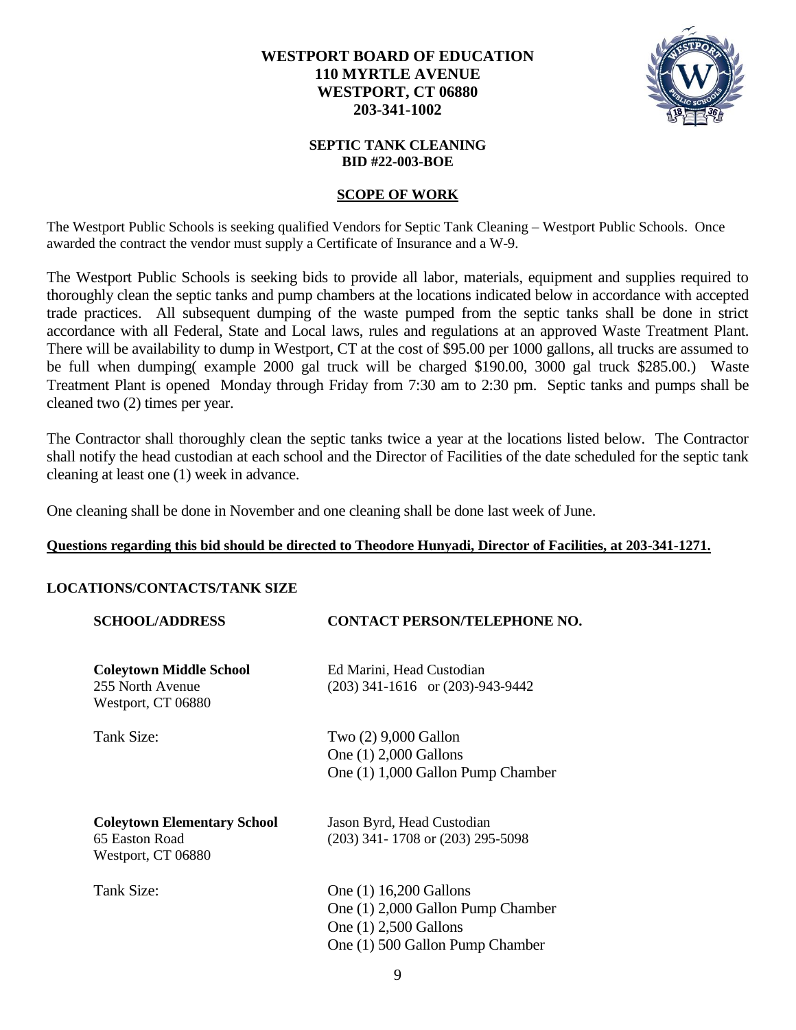

#### **SEPTIC TANK CLEANING BID #22-003-BOE**

### **SCOPE OF WORK**

The Westport Public Schools is seeking qualified Vendors for Septic Tank Cleaning – Westport Public Schools. Once awarded the contract the vendor must supply a Certificate of Insurance and a W-9.

The Westport Public Schools is seeking bids to provide all labor, materials, equipment and supplies required to thoroughly clean the septic tanks and pump chambers at the locations indicated below in accordance with accepted trade practices. All subsequent dumping of the waste pumped from the septic tanks shall be done in strict accordance with all Federal, State and Local laws, rules and regulations at an approved Waste Treatment Plant. There will be availability to dump in Westport, CT at the cost of \$95.00 per 1000 gallons, all trucks are assumed to be full when dumping( example 2000 gal truck will be charged \$190.00, 3000 gal truck \$285.00.) Waste Treatment Plant is opened Monday through Friday from 7:30 am to 2:30 pm. Septic tanks and pumps shall be cleaned two (2) times per year.

The Contractor shall thoroughly clean the septic tanks twice a year at the locations listed below. The Contractor shall notify the head custodian at each school and the Director of Facilities of the date scheduled for the septic tank cleaning at least one (1) week in advance.

One cleaning shall be done in November and one cleaning shall be done last week of June.

### **Questions regarding this bid should be directed to Theodore Hunyadi, Director of Facilities, at 203-341-1271.**

#### **LOCATIONS/CONTACTS/TANK SIZE**

| <b>SCHOOL/ADDRESS</b>                                                      | <b>CONTACT PERSON/TELEPHONE NO.</b>                                                                                     |
|----------------------------------------------------------------------------|-------------------------------------------------------------------------------------------------------------------------|
| <b>Coleytown Middle School</b><br>255 North Avenue<br>Westport, CT 06880   | Ed Marini, Head Custodian<br>$(203)$ 341-1616 or $(203)$ -943-9442                                                      |
| Tank Size:                                                                 | Two (2) 9,000 Gallon<br>One (1) 2,000 Gallons<br>One (1) 1,000 Gallon Pump Chamber                                      |
| <b>Coleytown Elementary School</b><br>65 Easton Road<br>Westport, CT 06880 | Jason Byrd, Head Custodian<br>$(203)$ 341-1708 or $(203)$ 295-5098                                                      |
| Tank Size:                                                                 | One (1) 16,200 Gallons<br>One (1) 2,000 Gallon Pump Chamber<br>One (1) 2,500 Gallons<br>One (1) 500 Gallon Pump Chamber |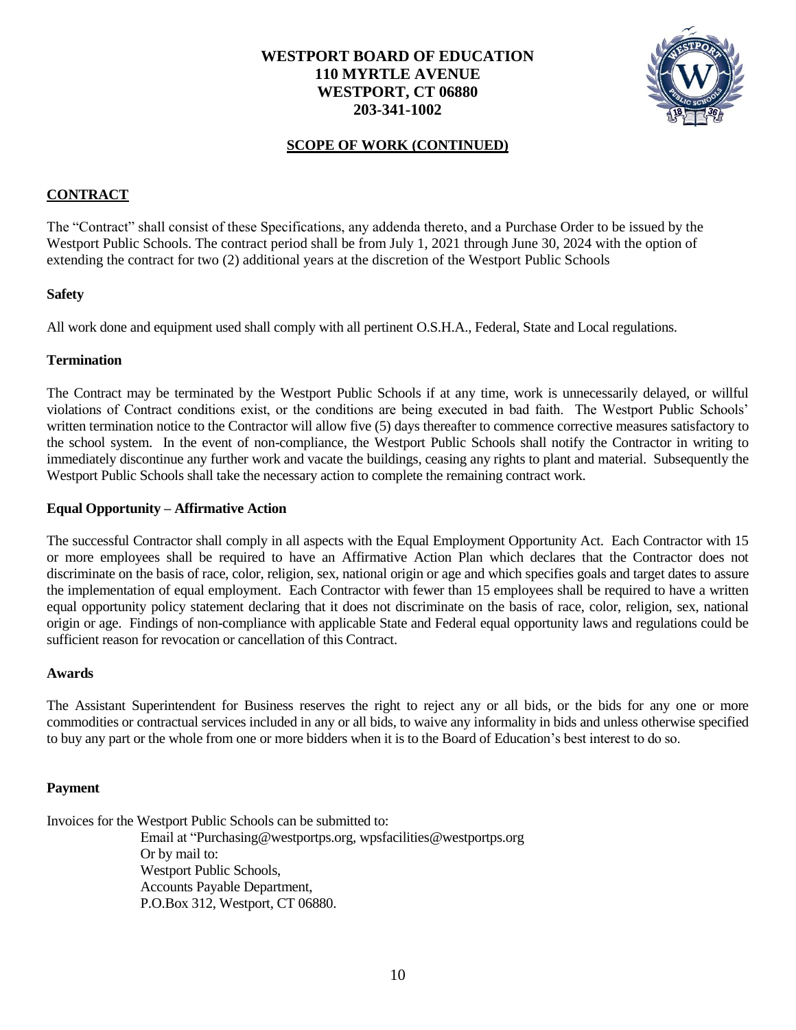

### **SCOPE OF WORK (CONTINUED)**

#### **CONTRACT**

The "Contract" shall consist of these Specifications, any addenda thereto, and a Purchase Order to be issued by the Westport Public Schools. The contract period shall be from July 1, 2021 through June 30, 2024 with the option of extending the contract for two (2) additional years at the discretion of the Westport Public Schools

#### **Safety**

All work done and equipment used shall comply with all pertinent O.S.H.A., Federal, State and Local regulations.

#### **Termination**

The Contract may be terminated by the Westport Public Schools if at any time, work is unnecessarily delayed, or willful violations of Contract conditions exist, or the conditions are being executed in bad faith. The Westport Public Schools' written termination notice to the Contractor will allow five (5) days thereafter to commence corrective measures satisfactory to the school system. In the event of non-compliance, the Westport Public Schools shall notify the Contractor in writing to immediately discontinue any further work and vacate the buildings, ceasing any rights to plant and material. Subsequently the Westport Public Schools shall take the necessary action to complete the remaining contract work.

#### **Equal Opportunity – Affirmative Action**

The successful Contractor shall comply in all aspects with the Equal Employment Opportunity Act. Each Contractor with 15 or more employees shall be required to have an Affirmative Action Plan which declares that the Contractor does not discriminate on the basis of race, color, religion, sex, national origin or age and which specifies goals and target dates to assure the implementation of equal employment. Each Contractor with fewer than 15 employees shall be required to have a written equal opportunity policy statement declaring that it does not discriminate on the basis of race, color, religion, sex, national origin or age. Findings of non-compliance with applicable State and Federal equal opportunity laws and regulations could be sufficient reason for revocation or cancellation of this Contract.

#### **Awards**

The Assistant Superintendent for Business reserves the right to reject any or all bids, or the bids for any one or more commodities or contractual services included in any or all bids, to waive any informality in bids and unless otherwise specified to buy any part or the whole from one or more bidders when it is to the Board of Education's best interest to do so.

#### **Payment**

Invoices for the Westport Public Schools can be submitted to: Email at "Purchasing@westportps.org, wpsfacilities@westportps.org Or by mail to: Westport Public Schools,

> Accounts Payable Department, P.O.Box 312, Westport, CT 06880.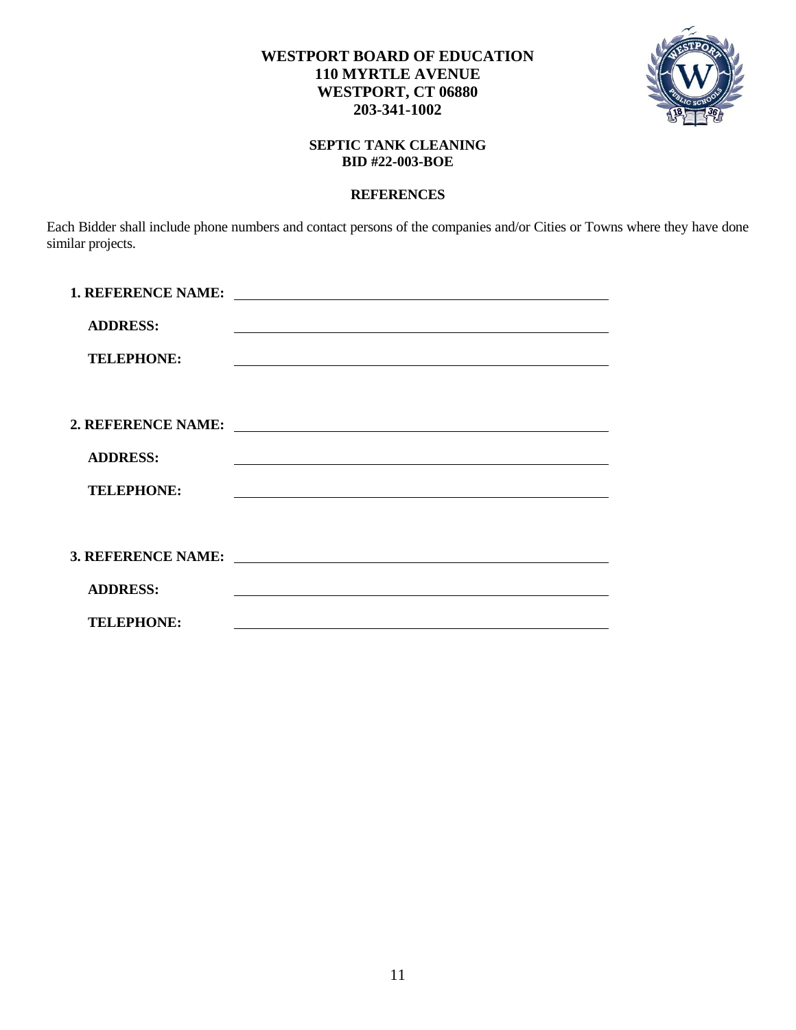



### **SEPTIC TANK CLEANING BID #22-003-BOE**

#### **REFERENCES**

Each Bidder shall include phone numbers and contact persons of the companies and/or Cities or Towns where they have done similar projects.

| <b>1. REFERENCE NAME:</b> | <u> 1989 - Johann Barn, mars et al. 1989 - Anna ann an t-Anna ann an t-Anna ann an t-Anna ann an t-Anna ann an t-</u>                                                                                                         |
|---------------------------|-------------------------------------------------------------------------------------------------------------------------------------------------------------------------------------------------------------------------------|
| <b>ADDRESS:</b>           | <u> 1980 - Jan Sterling von De Berger von De Berger von De Berger von De Berger von De Berger von De Berger von D</u>                                                                                                         |
| <b>TELEPHONE:</b>         |                                                                                                                                                                                                                               |
|                           |                                                                                                                                                                                                                               |
| 2. REFERENCE NAME:        | <u> 1989 - Andrea Andrew Maria (b. 1989)</u>                                                                                                                                                                                  |
| <b>ADDRESS:</b>           |                                                                                                                                                                                                                               |
| <b>TELEPHONE:</b>         | the control of the control of the control of the control of the control of the control of the control of the control of the control of the control of the control of the control of the control of the control of the control |
|                           |                                                                                                                                                                                                                               |
|                           |                                                                                                                                                                                                                               |
| <b>ADDRESS:</b>           |                                                                                                                                                                                                                               |
| <b>TELEPHONE:</b>         |                                                                                                                                                                                                                               |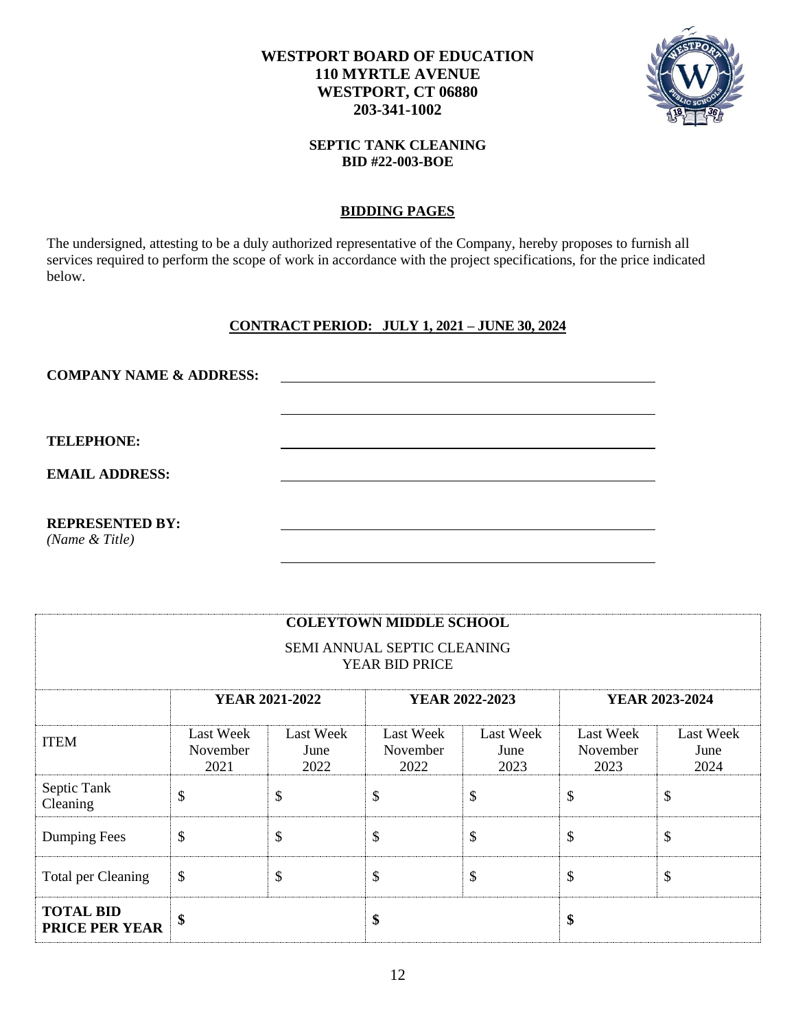

#### **SEPTIC TANK CLEANING BID #22-003-BOE**

### **BIDDING PAGES**

The undersigned, attesting to be a duly authorized representative of the Company, hereby proposes to furnish all services required to perform the scope of work in accordance with the project specifications, for the price indicated below.

## **CONTRACT PERIOD: JULY 1, 2021 – JUNE 30, 2024**

| <b>COMPANY NAME &amp; ADDRESS:</b> |  |
|------------------------------------|--|
|                                    |  |
|                                    |  |
| <b>TELEPHONE:</b>                  |  |
| <b>EMAIL ADDRESS:</b>              |  |
|                                    |  |
| <b>REPRESENTED BY:</b>             |  |
| (Name & Title)                     |  |

| <b>COLEYTOWN MIDDLE SCHOOL</b><br>SEMI ANNUAL SEPTIC CLEANING<br>YEAR BID PRICE |                                      |                                  |                               |                                  |                                      |                                  |  |
|---------------------------------------------------------------------------------|--------------------------------------|----------------------------------|-------------------------------|----------------------------------|--------------------------------------|----------------------------------|--|
|                                                                                 |                                      | <b>YEAR 2021-2022</b>            |                               | YEAR 2022-2023                   |                                      | YEAR 2023-2024                   |  |
| <b>ITEM</b>                                                                     | <b>Last Week</b><br>November<br>2021 | <b>Last Week</b><br>June<br>2022 | Last Week<br>November<br>2022 | <b>Last Week</b><br>June<br>2023 | <b>Last Week</b><br>November<br>2023 | <b>Last Week</b><br>June<br>2024 |  |
| Septic Tank<br>Cleaning                                                         | \$                                   | \$                               | \$                            | \$                               | \$                                   | \$                               |  |
| Dumping Fees                                                                    | \$                                   | \$                               | \$                            | \$                               | \$                                   | \$                               |  |
| Total per Cleaning                                                              | \$                                   | \$                               | \$                            | \$                               | \$                                   | \$                               |  |
| <b>TOTAL BID</b><br><b>PRICE PER YEAR</b>                                       | \$                                   |                                  | \$                            |                                  | \$                                   |                                  |  |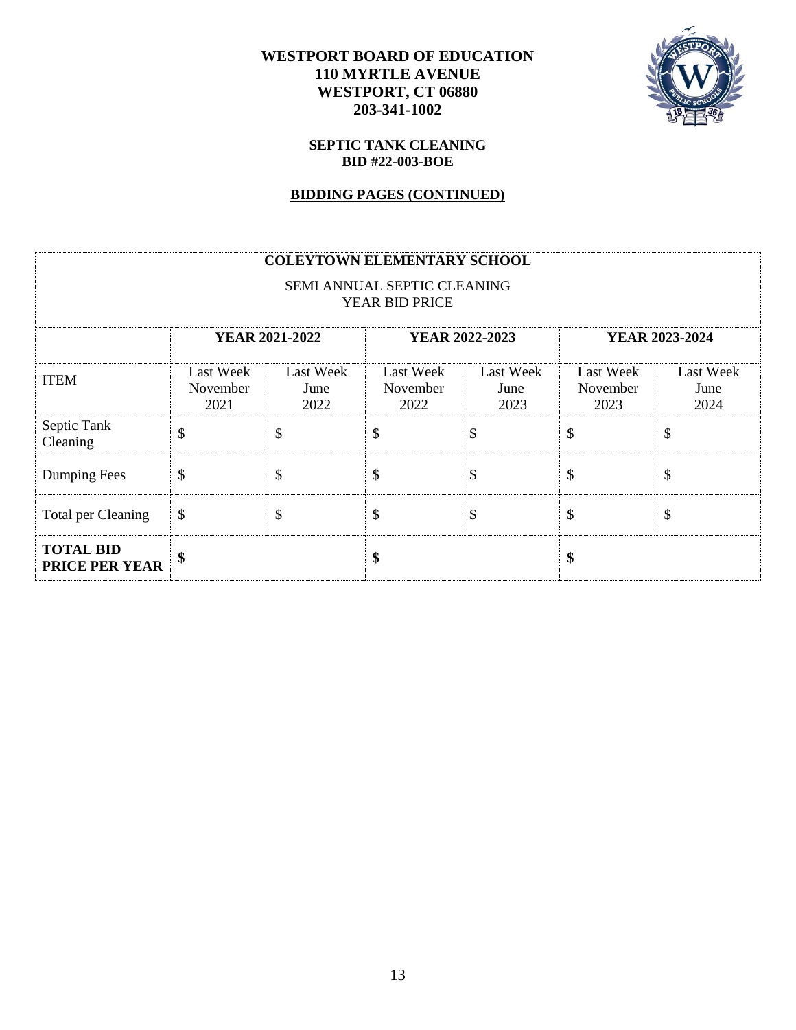

#### **SEPTIC TANK CLEANING BID #22-003-BOE**

### **BIDDING PAGES (CONTINUED)**

|                                    |                                                           |                                  | <b>COLEYTOWN ELEMENTARY SCHOOL</b>            |                                  |                                      |                                  |
|------------------------------------|-----------------------------------------------------------|----------------------------------|-----------------------------------------------|----------------------------------|--------------------------------------|----------------------------------|
|                                    |                                                           |                                  | SEMI ANNUAL SEPTIC CLEANING<br>YEAR BID PRICE |                                  |                                      |                                  |
|                                    | <b>YEAR 2021-2022</b><br>YEAR 2022-2023<br>YEAR 2023-2024 |                                  |                                               |                                  |                                      |                                  |
| <b>ITEM</b>                        | <b>Last Week</b><br>November<br>2021                      | <b>Last Week</b><br>June<br>2022 | <b>Last Week</b><br>November<br>2022          | <b>Last Week</b><br>June<br>2023 | <b>Last Week</b><br>November<br>2023 | <b>Last Week</b><br>June<br>2024 |
| Septic Tank<br>Cleaning            | \$                                                        | \$                               | \$                                            | \$                               | \$                                   | \$                               |
| Dumping Fees                       | \$                                                        | \$                               | \$                                            | \$                               | \$                                   | \$                               |
| Total per Cleaning                 | \$                                                        | \$                               | \$                                            | \$                               | \$                                   | \$                               |
| <b>TOTAL BID</b><br>PRICE PER YEAR | \$                                                        |                                  | \$                                            |                                  | \$                                   |                                  |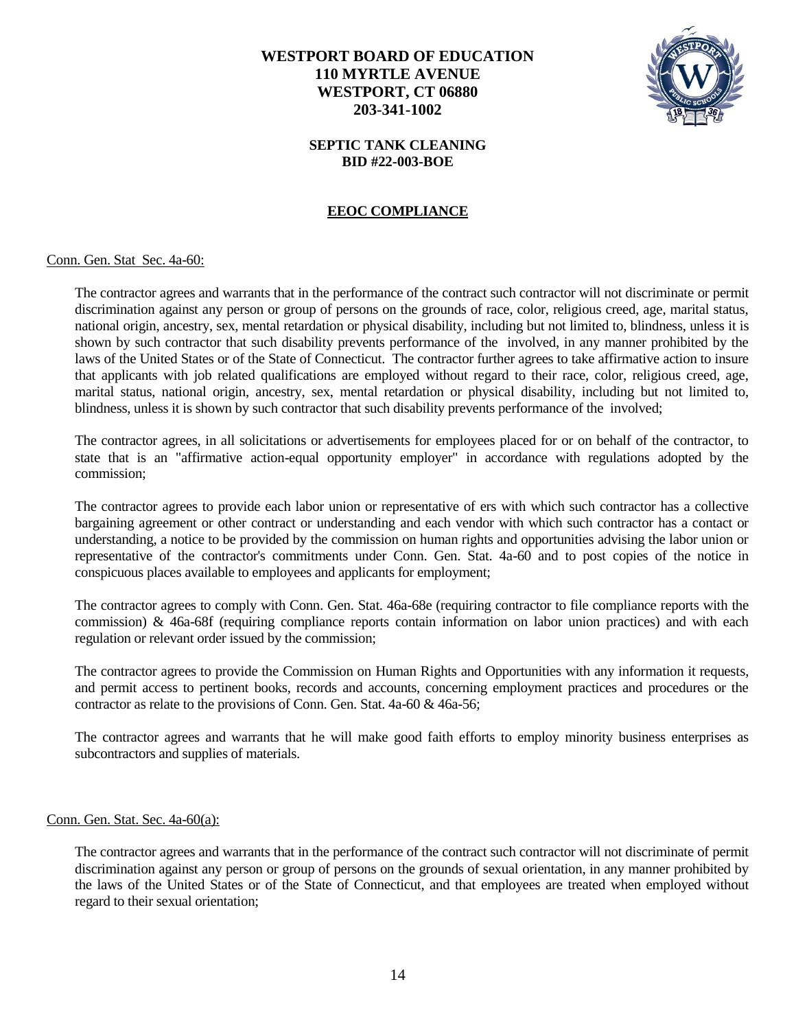

### **SEPTIC TANK CLEANING BID #22-003-BOE**

### **EEOC COMPLIANCE**

#### Conn. Gen. Stat Sec. 4a-60:

The contractor agrees and warrants that in the performance of the contract such contractor will not discriminate or permit discrimination against any person or group of persons on the grounds of race, color, religious creed, age, marital status, national origin, ancestry, sex, mental retardation or physical disability, including but not limited to, blindness, unless it is shown by such contractor that such disability prevents performance of the involved, in any manner prohibited by the laws of the United States or of the State of Connecticut. The contractor further agrees to take affirmative action to insure that applicants with job related qualifications are employed without regard to their race, color, religious creed, age, marital status, national origin, ancestry, sex, mental retardation or physical disability, including but not limited to, blindness, unless it is shown by such contractor that such disability prevents performance of the involved;

The contractor agrees, in all solicitations or advertisements for employees placed for or on behalf of the contractor, to state that is an "affirmative action-equal opportunity employer" in accordance with regulations adopted by the commission;

The contractor agrees to provide each labor union or representative of ers with which such contractor has a collective bargaining agreement or other contract or understanding and each vendor with which such contractor has a contact or understanding, a notice to be provided by the commission on human rights and opportunities advising the labor union or representative of the contractor's commitments under Conn. Gen. Stat. 4a-60 and to post copies of the notice in conspicuous places available to employees and applicants for employment;

The contractor agrees to comply with Conn. Gen. Stat. 46a-68e (requiring contractor to file compliance reports with the commission) & 46a-68f (requiring compliance reports contain information on labor union practices) and with each regulation or relevant order issued by the commission;

The contractor agrees to provide the Commission on Human Rights and Opportunities with any information it requests, and permit access to pertinent books, records and accounts, concerning employment practices and procedures or the contractor as relate to the provisions of Conn. Gen. Stat. 4a-60 & 46a-56;

The contractor agrees and warrants that he will make good faith efforts to employ minority business enterprises as subcontractors and supplies of materials.

#### Conn. Gen. Stat. Sec. 4a-60(a):

The contractor agrees and warrants that in the performance of the contract such contractor will not discriminate of permit discrimination against any person or group of persons on the grounds of sexual orientation, in any manner prohibited by the laws of the United States or of the State of Connecticut, and that employees are treated when employed without regard to their sexual orientation;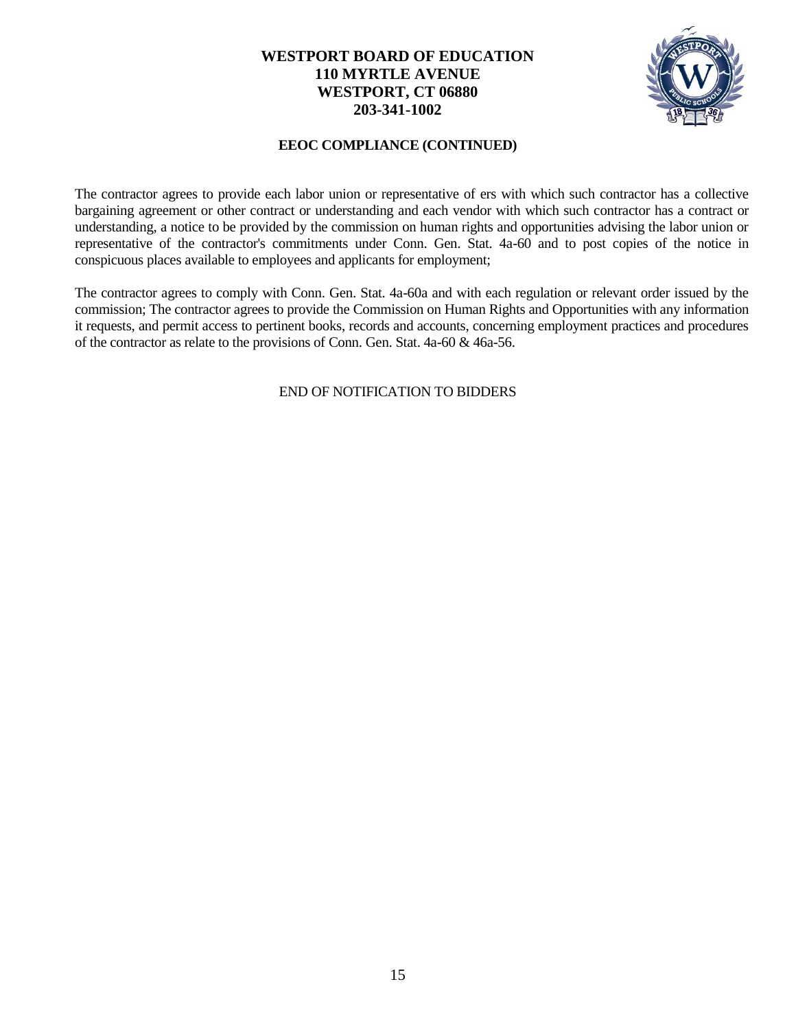

### **EEOC COMPLIANCE (CONTINUED)**

The contractor agrees to provide each labor union or representative of ers with which such contractor has a collective bargaining agreement or other contract or understanding and each vendor with which such contractor has a contract or understanding, a notice to be provided by the commission on human rights and opportunities advising the labor union or representative of the contractor's commitments under Conn. Gen. Stat. 4a-60 and to post copies of the notice in conspicuous places available to employees and applicants for employment;

The contractor agrees to comply with Conn. Gen. Stat. 4a-60a and with each regulation or relevant order issued by the commission; The contractor agrees to provide the Commission on Human Rights and Opportunities with any information it requests, and permit access to pertinent books, records and accounts, concerning employment practices and procedures of the contractor as relate to the provisions of Conn. Gen. Stat. 4a-60 & 46a-56.

END OF NOTIFICATION TO BIDDERS